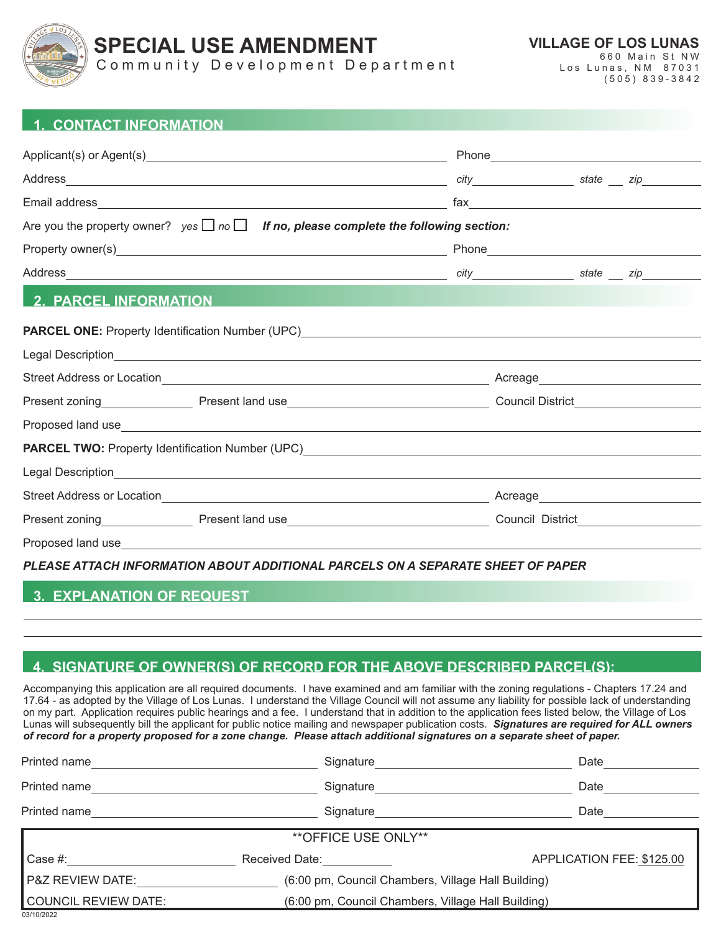

# **SPECIAL USE AMENDMENT**

Community Development Department

**VILLAGE OF LOS LUNAS** 660 Main St NW

Los Lunas, NM 87031 (505) 839-3842

#### **1. CONTACT INFORMATION**

|                                                                                                                                                                                                                                      |  | Phone <b>Property of the Community of the Community</b> |  |  |
|--------------------------------------------------------------------------------------------------------------------------------------------------------------------------------------------------------------------------------------|--|---------------------------------------------------------|--|--|
|                                                                                                                                                                                                                                      |  |                                                         |  |  |
|                                                                                                                                                                                                                                      |  |                                                         |  |  |
| Are you the property owner? $yes \Box no \Box$ If no, please complete the following section:                                                                                                                                         |  |                                                         |  |  |
|                                                                                                                                                                                                                                      |  |                                                         |  |  |
|                                                                                                                                                                                                                                      |  |                                                         |  |  |
| <b>2. PARCEL INFORMATION</b>                                                                                                                                                                                                         |  |                                                         |  |  |
|                                                                                                                                                                                                                                      |  |                                                         |  |  |
|                                                                                                                                                                                                                                      |  |                                                         |  |  |
|                                                                                                                                                                                                                                      |  | Acreage___________________________                      |  |  |
|                                                                                                                                                                                                                                      |  | Council District__________________                      |  |  |
| Proposed land use <u>entitled and contact and contact and contact and contact and contact and contact and contact and contact and contact and contact and contact and contact and contact and contact and contact and contact an</u> |  |                                                         |  |  |
|                                                                                                                                                                                                                                      |  |                                                         |  |  |
|                                                                                                                                                                                                                                      |  |                                                         |  |  |
|                                                                                                                                                                                                                                      |  | Acreage____________________________                     |  |  |
|                                                                                                                                                                                                                                      |  | Council District <b>Council</b> District                |  |  |
|                                                                                                                                                                                                                                      |  |                                                         |  |  |

*PLEASE ATTACH INFORMATION ABOUT ADDITIONAL PARCELS ON A SEPARATE SHEET OF PAPER*

#### **3. EXPLANATION OF REQUEST**

### **4. SIGNATURE OF OWNER(S) OF RECORD FOR THE ABOVE DESCRIBED PARCEL(S):**

Accompanying this application are all required documents. I have examined and am familiar with the zoning regulations - Chapters 17.24 and 17.64 - as adopted by the Village of Los Lunas. I understand the Village Council will not assume any liability for possible lack of understanding on my part. Application requires public hearings and a fee. I understand that in addition to the application fees listed below, the Village of Los Lunas will subsequently bill the applicant for public notice mailing and newspaper publication costs. *Signatures are required for ALL owners of record for a property proposed for a zone change. Please attach additional signatures on a separate sheet of paper.*

| Printed name                       | Signature                                          | Date                      |  |  |  |
|------------------------------------|----------------------------------------------------|---------------------------|--|--|--|
| Printed name                       | Signature                                          | Date                      |  |  |  |
| Printed name                       | Signature                                          | Date                      |  |  |  |
| <b>**OFFICE USE ONLY**</b>         |                                                    |                           |  |  |  |
| Case #:                            | Received Date:                                     | APPLICATION FEE: \$125.00 |  |  |  |
| <b>P&amp;Z REVIEW DATE:</b>        | (6:00 pm, Council Chambers, Village Hall Building) |                           |  |  |  |
| COUNCIL REVIEW DATE:<br>03/10/2022 | (6:00 pm, Council Chambers, Village Hall Building) |                           |  |  |  |